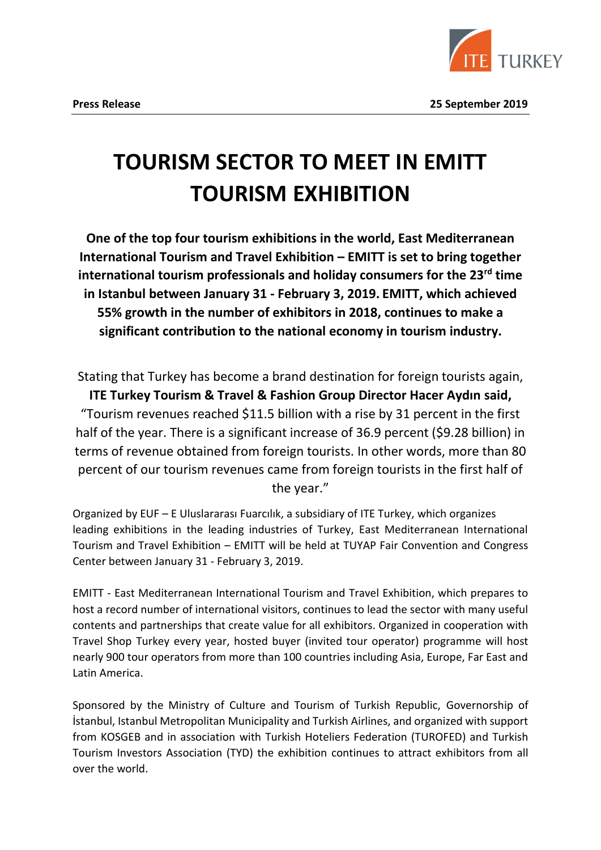

# **TOURISM SECTOR TO MEET IN EMITT TOURISM EXHIBITION**

**One of the top four tourism exhibitions in the world, East Mediterranean International Tourism and Travel Exhibition – EMITT is set to bring together international tourism professionals and holiday consumers for the 23rd time in Istanbul between January 31 - February 3, 2019. EMITT, which achieved 55% growth in the number of exhibitors in 2018, continues to make a significant contribution to the national economy in tourism industry.**

Stating that Turkey has become a brand destination for foreign tourists again, **ITE Turkey Tourism & Travel & Fashion Group Director Hacer Aydın said,** "Tourism revenues reached \$11.5 billion with a rise by 31 percent in the first half of the year. There is a significant increase of 36.9 percent (\$9.28 billion) in terms of revenue obtained from foreign tourists. In other words, more than 80 percent of our tourism revenues came from foreign tourists in the first half of the year."

Organized by EUF – E Uluslararası Fuarcılık, a subsidiary of ITE Turkey, which organizes leading exhibitions in the leading industries of Turkey, East Mediterranean International Tourism and Travel Exhibition – EMITT will be held at TUYAP Fair Convention and Congress Center between January 31 - February 3, 2019.

EMITT - East Mediterranean International Tourism and Travel Exhibition, which prepares to host a record number of international visitors, continues to lead the sector with many useful contents and partnerships that create value for all exhibitors. Organized in cooperation with Travel Shop Turkey every year, hosted buyer (invited tour operator) programme will host nearly 900 tour operators from more than 100 countries including Asia, Europe, Far East and Latin America.

Sponsored by the Ministry of Culture and Tourism of Turkish Republic, Governorship of İstanbul, Istanbul Metropolitan Municipality and Turkish Airlines, and organized with support from KOSGEB and in association with Turkish Hoteliers Federation (TUROFED) and Turkish Tourism Investors Association (TYD) the exhibition continues to attract exhibitors from all over the world.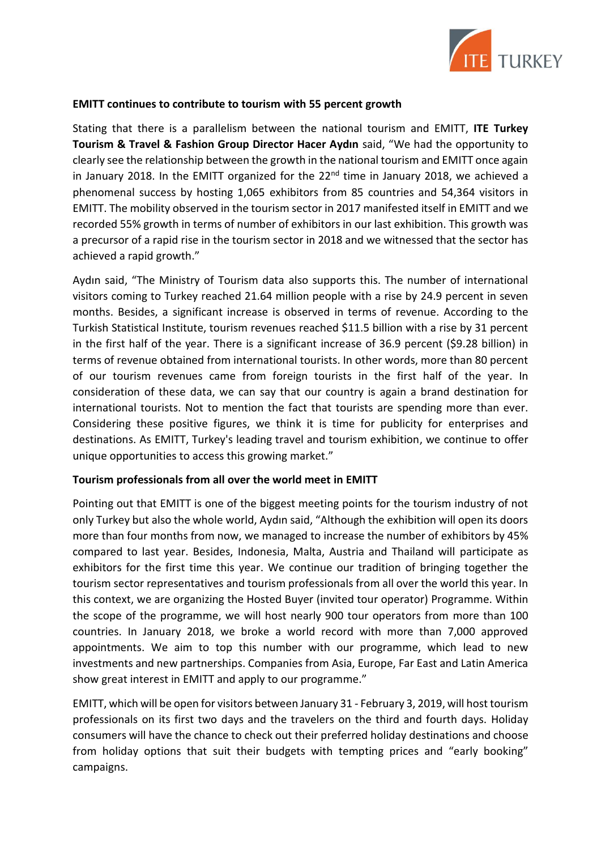

## **EMITT continues to contribute to tourism with 55 percent growth**

Stating that there is a parallelism between the national tourism and EMITT, **ITE Turkey Tourism & Travel & Fashion Group Director Hacer Aydın** said, "We had the opportunity to clearly see the relationship between the growth in the national tourism and EMITT once again in January 2018. In the EMITT organized for the 22<sup>nd</sup> time in January 2018, we achieved a phenomenal success by hosting 1,065 exhibitors from 85 countries and 54,364 visitors in EMITT. The mobility observed in the tourism sector in 2017 manifested itself in EMITT and we recorded 55% growth in terms of number of exhibitors in our last exhibition. This growth was a precursor of a rapid rise in the tourism sector in 2018 and we witnessed that the sector has achieved a rapid growth."

Aydın said, "The Ministry of Tourism data also supports this. The number of international visitors coming to Turkey reached 21.64 million people with a rise by 24.9 percent in seven months. Besides, a significant increase is observed in terms of revenue. According to the Turkish Statistical Institute, tourism revenues reached \$11.5 billion with a rise by 31 percent in the first half of the year. There is a significant increase of 36.9 percent (\$9.28 billion) in terms of revenue obtained from international tourists. In other words, more than 80 percent of our tourism revenues came from foreign tourists in the first half of the year. In consideration of these data, we can say that our country is again a brand destination for international tourists. Not to mention the fact that tourists are spending more than ever. Considering these positive figures, we think it is time for publicity for enterprises and destinations. As EMITT, Turkey's leading travel and tourism exhibition, we continue to offer unique opportunities to access this growing market."

## **Tourism professionals from all over the world meet in EMITT**

Pointing out that EMITT is one of the biggest meeting points for the tourism industry of not only Turkey but also the whole world, Aydın said, "Although the exhibition will open its doors more than four months from now, we managed to increase the number of exhibitors by 45% compared to last year. Besides, Indonesia, Malta, Austria and Thailand will participate as exhibitors for the first time this year. We continue our tradition of bringing together the tourism sector representatives and tourism professionals from all over the world this year. In this context, we are organizing the Hosted Buyer (invited tour operator) Programme. Within the scope of the programme, we will host nearly 900 tour operators from more than 100 countries. In January 2018, we broke a world record with more than 7,000 approved appointments. We aim to top this number with our programme, which lead to new investments and new partnerships. Companies from Asia, Europe, Far East and Latin America show great interest in EMITT and apply to our programme."

EMITT, which will be open for visitors between January 31 - February 3, 2019, will host tourism professionals on its first two days and the travelers on the third and fourth days. Holiday consumers will have the chance to check out their preferred holiday destinations and choose from holiday options that suit their budgets with tempting prices and "early booking" campaigns.